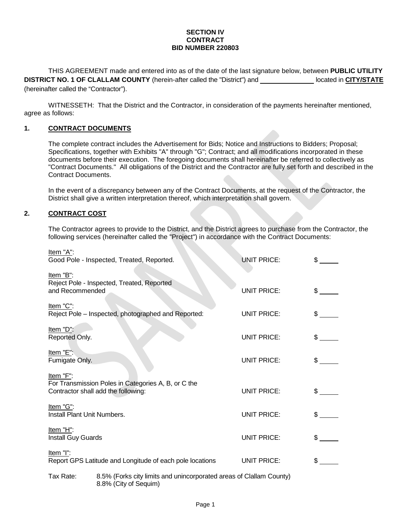#### **SECTION IV CONTRACT BID NUMBER 220803**

THIS AGREEMENT made and entered into as of the date of the last signature below, between **PUBLIC UTILITY DISTRICT NO. 1 OF CLALLAM COUNTY** (herein-after called the "District") and located in **CITY/STATE** (hereinafter called the "Contractor").

WITNESSETH: That the District and the Contractor, in consideration of the payments hereinafter mentioned, agree as follows:

## **1. CONTRACT DOCUMENTS**

The complete contract includes the Advertisement for Bids; Notice and Instructions to Bidders; Proposal; Specifications, together with Exhibits "A" through "G"; Contract; and all modifications incorporated in these documents before their execution. The foregoing documents shall hereinafter be referred to collectively as "Contract Documents." All obligations of the District and the Contractor are fully set forth and described in the Contract Documents.

In the event of a discrepancy between any of the Contract Documents, at the request of the Contractor, the District shall give a written interpretation thereof, which interpretation shall govern.

### **2. CONTRACT COST**

The Contractor agrees to provide to the District, and the District agrees to purchase from the Contractor, the following services (hereinafter called the "Project") in accordance with the Contract Documents:

| Item "A":<br>Good Pole - Inspected, Treated, Reported.                                                  | <b>UNIT PRICE:</b> | \$            |  |
|---------------------------------------------------------------------------------------------------------|--------------------|---------------|--|
| Item "B":<br>Reject Pole - Inspected, Treated, Reported<br>and Recommended                              | <b>UNIT PRICE:</b> | \$            |  |
| Item "C":<br>Reject Pole - Inspected, photographed and Reported:                                        | <b>UNIT PRICE:</b> | \$            |  |
| Item "D":<br>Reported Only.                                                                             | <b>UNIT PRICE:</b> | \$            |  |
| Item $"E"$ :<br>Fumigate Only.                                                                          | <b>UNIT PRICE:</b> | \$            |  |
| Item "F":<br>For Transmission Poles in Categories A, B, or C the<br>Contractor shall add the following: | <b>UNIT PRICE:</b> | \$            |  |
| Item "G":<br>Install Plant Unit Numbers.                                                                | <b>UNIT PRICE:</b> | \$            |  |
| Item $H$ .<br>Install Guy Guards                                                                        | <b>UNIT PRICE:</b> | $\mathsf{\$}$ |  |
| Item "I":<br>Report GPS Latitude and Longitude of each pole locations                                   | <b>UNIT PRICE:</b> | \$            |  |
| 8.5% (Forks city limits and unincorporated areas of Clallam County)<br>Tax Rate:                        |                    |               |  |

8.8% (City of Sequim)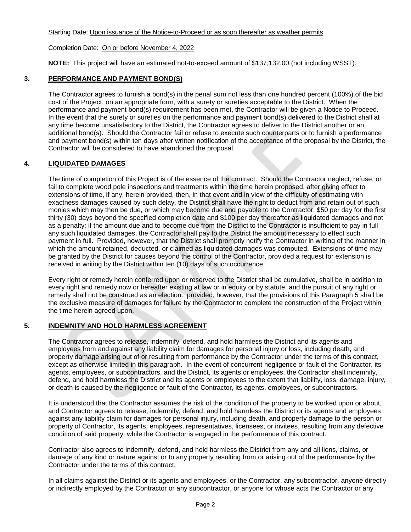### Starting Date: Upon issuance of the Notice-to-Proceed or as soon thereafter as weather permits

### Completion Date: On or before November 4, 2022

**NOTE:** This project will have an estimated not-to-exceed amount of \$137,132.00 (not including WSST).

# **3. PERFORMANCE AND PAYMENT BOND(S)**

The Contractor agrees to furnish a bond(s) in the penal sum not less than one hundred percent (100%) of the bid cost of the Project, on an appropriate form, with a surety or sureties acceptable to the District. When the performance and payment bond(s) requirement has been met, the Contractor will be given a Notice to Proceed. In the event that the surety or sureties on the performance and payment bond(s) delivered to the District shall at any time become unsatisfactory to the District, the Contractor agrees to deliver to the District another or an additional bond(s). Should the Contractor fail or refuse to execute such counterparts or to furnish a performance and payment bond(s) within ten days after written notification of the acceptance of the proposal by the District, the Contractor will be considered to have abandoned the proposal.

# **4. LIQUIDATED DAMAGES**

The time of completion of this Project is of the essence of the contract. Should the Contractor neglect, refuse, or fail to complete wood pole inspections and treatments within the time herein proposed, after giving effect to extensions of time, if any, herein provided, then, in that event and in view of the difficulty of estimating with exactness damages caused by such delay, the District shall have the right to deduct from and retain out of such monies which may then be due, or which may become due and payable to the Contractor, \$50 per day for the first thirty (30) days beyond the specified completion date and \$100 per day thereafter as liquidated damages and not as a penalty; if the amount due and to become due from the District to the Contractor is insufficient to pay in full any such liquidated damages, the Contractor shall pay to the District the amount necessary to effect such payment in full. Provided, however, that the District shall promptly notify the Contractor in writing of the manner in which the amount retained, deducted, or claimed as liquidated damages was computed. Extensions of time may be granted by the District for causes beyond the control of the Contractor, provided a request for extension is received in writing by the District within ten (10) days of such occurrence.

Every right or remedy herein conferred upon or reserved to the District shall be cumulative, shall be in addition to every right and remedy now or hereafter existing at law or in equity or by statute, and the pursuit of any right or remedy shall not be construed as an election: provided, however, that the provisions of this Paragraph 5 shall be the exclusive measure of damages for failure by the Contractor to complete the construction of the Project within the time herein agreed upon.

## **5. INDEMNITY AND HOLD HARMLESS AGREEMENT**

The Contractor agrees to release, indemnify, defend, and hold harmless the District and its agents and employees from and against any liability claim for damages for personal injury or loss, including death, and property damage arising out of or resulting from performance by the Contractor under the terms of this contract, except as otherwise limited in this paragraph. In the event of concurrent negligence or fault of the Contractor, its agents, employees, or subcontractors, and the District, its agents or employees, the Contractor shall indemnify, defend, and hold harmless the District and its agents or employees to the extent that liability, loss, damage, injury, or death is caused by the negligence or fault of the Contractor, its agents, employees, or subcontractors.

It is understood that the Contractor assumes the risk of the condition of the property to be worked upon or about, and Contractor agrees to release, indemnify, defend, and hold harmless the District or its agents and employees against any liability claim for damages for personal injury, including death, and property damage to the person or property of Contractor, its agents, employees, representatives, licensees, or invitees, resulting from any defective condition of said property, while the Contractor is engaged in the performance of this contract.

Contractor also agrees to indemnify, defend, and hold harmless the District from any and all liens, claims, or damage of any kind or nature against or to any property resulting from or arising out of the performance by the Contractor under the terms of this contract.

In all claims against the District or its agents and employees, or the Contractor, any subcontractor, anyone directly or indirectly employed by the Contractor or any subcontractor, or anyone for whose acts the Contractor or any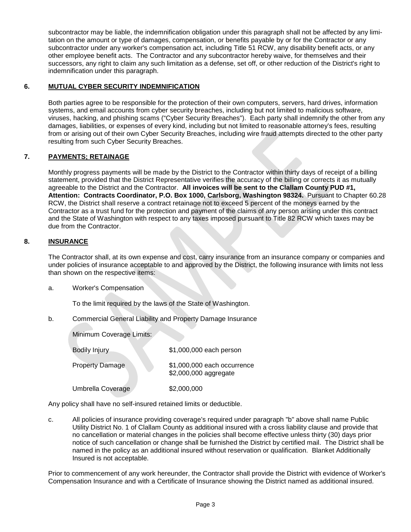subcontractor may be liable, the indemnification obligation under this paragraph shall not be affected by any limitation on the amount or type of damages, compensation, or benefits payable by or for the Contractor or any subcontractor under any worker's compensation act, including Title 51 RCW, any disability benefit acts, or any other employee benefit acts. The Contractor and any subcontractor hereby waive, for themselves and their successors, any right to claim any such limitation as a defense, set off, or other reduction of the District's right to indemnification under this paragraph.

# **6. MUTUAL CYBER SECURITY INDEMNIFICATION**

Both parties agree to be responsible for the protection of their own computers, servers, hard drives, information systems, and email accounts from cyber security breaches, including but not limited to malicious software, viruses, hacking, and phishing scams ("Cyber Security Breaches"). Each party shall indemnify the other from any damages, liabilities, or expenses of every kind, including but not limited to reasonable attorney's fees, resulting from or arising out of their own Cyber Security Breaches, including wire fraud attempts directed to the other party resulting from such Cyber Security Breaches.

# **7. PAYMENTS; RETAINAGE**

Monthly progress payments will be made by the District to the Contractor within thirty days of receipt of a billing statement, provided that the District Representative verifies the accuracy of the billing or corrects it as mutually agreeable to the District and the Contractor. **All invoices will be sent to the Clallam County PUD #1, Attention: Contracts Coordinator, P.O. Box 1000, Carlsborg, Washington 98324.** Pursuant to Chapter 60.28 RCW, the District shall reserve a contract retainage not to exceed 5 percent of the moneys earned by the Contractor as a trust fund for the protection and payment of the claims of any person arising under this contract and the State of Washington with respect to any taxes imposed pursuant to Title 82 RCW which taxes may be due from the Contractor.

## **8. INSURANCE**

The Contractor shall, at its own expense and cost, carry insurance from an insurance company or companies and under policies of insurance acceptable to and approved by the District, the following insurance with limits not less than shown on the respective items:

a. Worker's Compensation

To the limit required by the laws of the State of Washington.

b. Commercial General Liability and Property Damage Insurance

| Minimum Coverage Limits: |                                                      |
|--------------------------|------------------------------------------------------|
| <b>Bodily Injury</b>     | \$1,000,000 each person                              |
| <b>Property Damage</b>   | \$1,000,000 each occurrence<br>\$2,000,000 aggregate |
| Umbrella Coverage        | \$2,000,000                                          |

Any policy shall have no self-insured retained limits or deductible.

c. All policies of insurance providing coverage's required under paragraph "b" above shall name Public Utility District No. 1 of Clallam County as additional insured with a cross liability clause and provide that no cancellation or material changes in the policies shall become effective unless thirty (30) days prior notice of such cancellation or change shall be furnished the District by certified mail. The District shall be named in the policy as an additional insured without reservation or qualification. Blanket Additionally Insured is not acceptable.

Prior to commencement of any work hereunder, the Contractor shall provide the District with evidence of Worker's Compensation Insurance and with a Certificate of Insurance showing the District named as additional insured.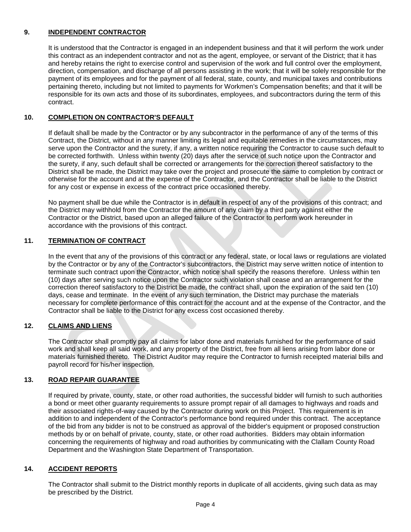# **9. INDEPENDENT CONTRACTOR**

It is understood that the Contractor is engaged in an independent business and that it will perform the work under this contract as an independent contractor and not as the agent, employee, or servant of the District; that it has and hereby retains the right to exercise control and supervision of the work and full control over the employment, direction, compensation, and discharge of all persons assisting in the work; that it will be solely responsible for the payment of its employees and for the payment of all federal, state, county, and municipal taxes and contributions pertaining thereto, including but not limited to payments for Workmen's Compensation benefits; and that it will be responsible for its own acts and those of its subordinates, employees, and subcontractors during the term of this contract.

# **10. COMPLETION ON CONTRACTOR'S DEFAULT**

If default shall be made by the Contractor or by any subcontractor in the performance of any of the terms of this Contract, the District, without in any manner limiting its legal and equitable remedies in the circumstances, may serve upon the Contractor and the surety, if any, a written notice requiring the Contractor to cause such default to be corrected forthwith. Unless within twenty (20) days after the service of such notice upon the Contractor and the surety, if any, such default shall be corrected or arrangements for the correction thereof satisfactory to the District shall be made, the District may take over the project and prosecute the same to completion by contract or otherwise for the account and at the expense of the Contractor, and the Contractor shall be liable to the District for any cost or expense in excess of the contract price occasioned thereby.

No payment shall be due while the Contractor is in default in respect of any of the provisions of this contract; and the District may withhold from the Contractor the amount of any claim by a third party against either the Contractor or the District, based upon an alleged failure of the Contractor to perform work hereunder in accordance with the provisions of this contract.

## **11. TERMINATION OF CONTRACT**

In the event that any of the provisions of this contract or any federal, state, or local laws or regulations are violated by the Contractor or by any of the Contractor's subcontractors, the District may serve written notice of intention to terminate such contract upon the Contractor, which notice shall specify the reasons therefore. Unless within ten (10) days after serving such notice upon the Contractor such violation shall cease and an arrangement for the correction thereof satisfactory to the District be made, the contract shall, upon the expiration of the said ten (10) days, cease and terminate. In the event of any such termination, the District may purchase the materials necessary for complete performance of this contract for the account and at the expense of the Contractor, and the Contractor shall be liable to the District for any excess cost occasioned thereby.

## **12. CLAIMS AND LIENS**

The Contractor shall promptly pay all claims for labor done and materials furnished for the performance of said work and shall keep all said work, and any property of the District, free from all liens arising from labor done or materials furnished thereto. The District Auditor may require the Contractor to furnish receipted material bills and payroll record for his/her inspection.

## **13. ROAD REPAIR GUARANTEE**

If required by private, county, state, or other road authorities, the successful bidder will furnish to such authorities a bond or meet other guaranty requirements to assure prompt repair of all damages to highways and roads and their associated rights-of-way caused by the Contractor during work on this Project. This requirement is in addition to and independent of the Contractor's performance bond required under this contract. The acceptance of the bid from any bidder is not to be construed as approval of the bidder's equipment or proposed construction methods by or on behalf of private, county, state, or other road authorities. Bidders may obtain information concerning the requirements of highway and road authorities by communicating with the Clallam County Road Department and the Washington State Department of Transportation.

## **14. ACCIDENT REPORTS**

The Contractor shall submit to the District monthly reports in duplicate of all accidents, giving such data as may be prescribed by the District.